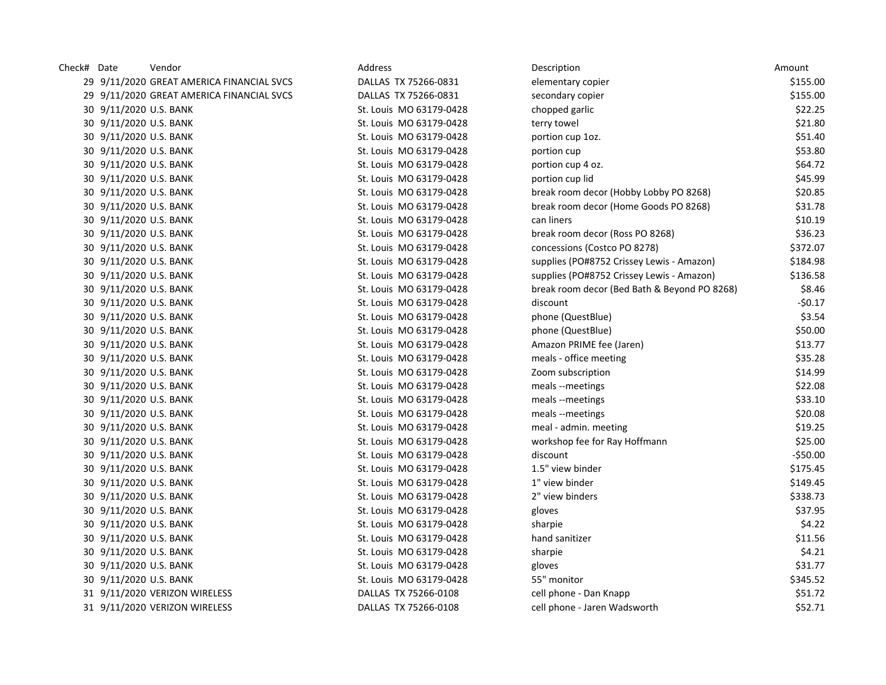| Check# Date | Vendor                                    | Address                 | Description                                  | Amount    |
|-------------|-------------------------------------------|-------------------------|----------------------------------------------|-----------|
|             | 29 9/11/2020 GREAT AMERICA FINANCIAL SVCS | DALLAS TX 75266-0831    | elementary copier                            | \$155.00  |
|             | 29 9/11/2020 GREAT AMERICA FINANCIAL SVCS | DALLAS TX 75266-0831    | secondary copier                             | \$155.00  |
|             | 30 9/11/2020 U.S. BANK                    | St. Louis MO 63179-0428 | chopped garlic                               | \$22.25   |
|             | 30 9/11/2020 U.S. BANK                    | St. Louis MO 63179-0428 | terry towel                                  | \$21.80   |
|             | 30 9/11/2020 U.S. BANK                    | St. Louis MO 63179-0428 | portion cup 1oz.                             | \$51.40   |
|             | 30 9/11/2020 U.S. BANK                    | St. Louis MO 63179-0428 | portion cup                                  | \$53.80   |
|             | 30 9/11/2020 U.S. BANK                    | St. Louis MO 63179-0428 | portion cup 4 oz.                            | \$64.72   |
|             | 30 9/11/2020 U.S. BANK                    | St. Louis MO 63179-0428 | portion cup lid                              | \$45.99   |
|             | 30 9/11/2020 U.S. BANK                    | St. Louis MO 63179-0428 | break room decor (Hobby Lobby PO 8268)       | \$20.85   |
|             | 30 9/11/2020 U.S. BANK                    | St. Louis MO 63179-0428 | break room decor (Home Goods PO 8268)        | \$31.78   |
|             | 30 9/11/2020 U.S. BANK                    | St. Louis MO 63179-0428 | can liners                                   | \$10.19   |
|             | 30 9/11/2020 U.S. BANK                    | St. Louis MO 63179-0428 | break room decor (Ross PO 8268)              | \$36.23   |
|             | 30 9/11/2020 U.S. BANK                    | St. Louis MO 63179-0428 | concessions (Costco PO 8278)                 | \$372.07  |
|             | 30 9/11/2020 U.S. BANK                    | St. Louis MO 63179-0428 | supplies (PO#8752 Crissey Lewis - Amazon)    | \$184.98  |
|             | 30 9/11/2020 U.S. BANK                    | St. Louis MO 63179-0428 | supplies (PO#8752 Crissey Lewis - Amazon)    | \$136.58  |
|             | 30 9/11/2020 U.S. BANK                    | St. Louis MO 63179-0428 | break room decor (Bed Bath & Beyond PO 8268) | \$8.46    |
|             | 30 9/11/2020 U.S. BANK                    | St. Louis MO 63179-0428 | discount                                     | -\$0.17   |
|             | 30 9/11/2020 U.S. BANK                    | St. Louis MO 63179-0428 | phone (QuestBlue)                            | \$3.54    |
|             | 30 9/11/2020 U.S. BANK                    | St. Louis MO 63179-0428 | phone (QuestBlue)                            | \$50.00   |
|             | 30 9/11/2020 U.S. BANK                    | St. Louis MO 63179-0428 | Amazon PRIME fee (Jaren)                     | \$13.77   |
|             | 30 9/11/2020 U.S. BANK                    | St. Louis MO 63179-0428 | meals - office meeting                       | \$35.28   |
|             | 30 9/11/2020 U.S. BANK                    | St. Louis MO 63179-0428 | Zoom subscription                            | \$14.99   |
|             | 30 9/11/2020 U.S. BANK                    | St. Louis MO 63179-0428 | meals --meetings                             | \$22.08   |
|             | 30 9/11/2020 U.S. BANK                    | St. Louis MO 63179-0428 | meals --meetings                             | \$33.10   |
|             | 30 9/11/2020 U.S. BANK                    | St. Louis MO 63179-0428 | meals --meetings                             | \$20.08   |
|             | 30 9/11/2020 U.S. BANK                    | St. Louis MO 63179-0428 | meal - admin. meeting                        | \$19.25   |
|             | 30 9/11/2020 U.S. BANK                    | St. Louis MO 63179-0428 | workshop fee for Ray Hoffmann                | \$25.00   |
|             | 30 9/11/2020 U.S. BANK                    | St. Louis MO 63179-0428 | discount                                     | $-550.00$ |
|             | 30 9/11/2020 U.S. BANK                    | St. Louis MO 63179-0428 | 1.5" view binder                             | \$175.45  |
|             | 30 9/11/2020 U.S. BANK                    | St. Louis MO 63179-0428 | 1" view binder                               | \$149.45  |
|             | 30 9/11/2020 U.S. BANK                    | St. Louis MO 63179-0428 | 2" view binders                              | \$338.73  |
|             | 30 9/11/2020 U.S. BANK                    | St. Louis MO 63179-0428 | gloves                                       | \$37.95   |
|             | 30 9/11/2020 U.S. BANK                    | St. Louis MO 63179-0428 | sharpie                                      | \$4.22    |
|             | 30 9/11/2020 U.S. BANK                    | St. Louis MO 63179-0428 | hand sanitizer                               | \$11.56   |
|             | 30 9/11/2020 U.S. BANK                    | St. Louis MO 63179-0428 | sharpie                                      | \$4.21    |
|             | 30 9/11/2020 U.S. BANK                    | St. Louis MO 63179-0428 | gloves                                       | \$31.77   |
|             | 30 9/11/2020 U.S. BANK                    | St. Louis MO 63179-0428 | 55" monitor                                  | \$345.52  |
|             | 31 9/11/2020 VERIZON WIRELESS             | DALLAS TX 75266-0108    | cell phone - Dan Knapp                       | \$51.72   |
|             | 31 9/11/2020 VERIZON WIRELESS             | DALLAS TX 75266-0108    | cell phone - Jaren Wadsworth                 | \$52.71   |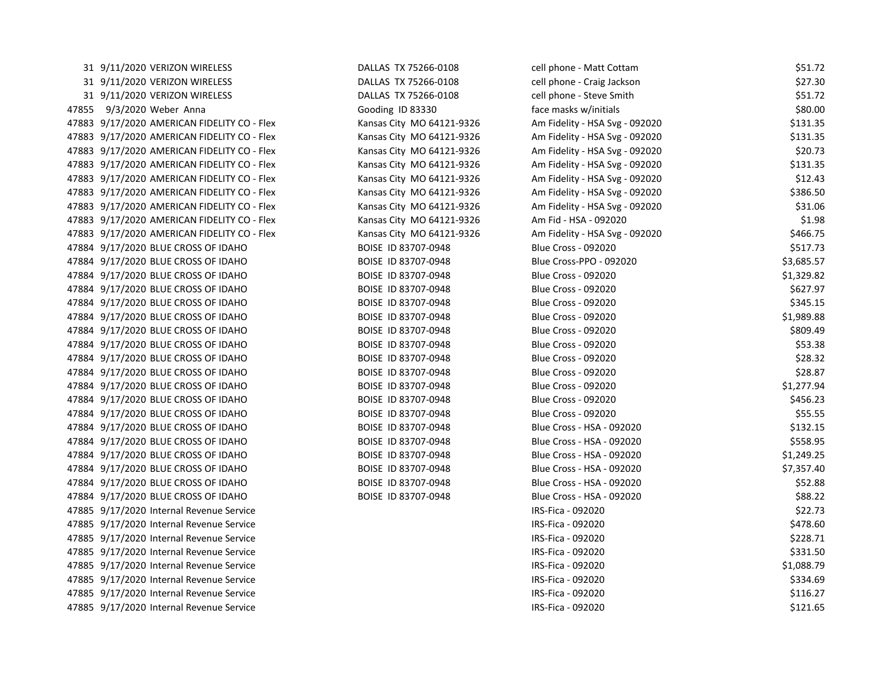| 31 9/11/2020 VERIZON WIRELESS               | DALLAS TX 75266-0108      | cell phone - Matt Cottam       | \$51.72    |
|---------------------------------------------|---------------------------|--------------------------------|------------|
| 31 9/11/2020 VERIZON WIRELESS               | DALLAS TX 75266-0108      | cell phone - Craig Jackson     | \$27.30    |
| 31 9/11/2020 VERIZON WIRELESS               | DALLAS TX 75266-0108      | cell phone - Steve Smith       | \$51.72    |
| 47855 9/3/2020 Weber Anna                   | Gooding ID 83330          | face masks w/initials          | \$80.00    |
| 47883 9/17/2020 AMERICAN FIDELITY CO - Flex | Kansas City MO 64121-9326 | Am Fidelity - HSA Svg - 092020 | \$131.35   |
| 47883 9/17/2020 AMERICAN FIDELITY CO - Flex | Kansas City MO 64121-9326 | Am Fidelity - HSA Svg - 092020 | \$131.35   |
| 47883 9/17/2020 AMERICAN FIDELITY CO - Flex | Kansas City MO 64121-9326 | Am Fidelity - HSA Svg - 092020 | \$20.73    |
| 47883 9/17/2020 AMERICAN FIDELITY CO - Flex | Kansas City MO 64121-9326 | Am Fidelity - HSA Svg - 092020 | \$131.35   |
| 47883 9/17/2020 AMERICAN FIDELITY CO - Flex | Kansas City MO 64121-9326 | Am Fidelity - HSA Svg - 092020 | \$12.43    |
| 47883 9/17/2020 AMERICAN FIDELITY CO - Flex | Kansas City MO 64121-9326 | Am Fidelity - HSA Svg - 092020 | \$386.50   |
| 47883 9/17/2020 AMERICAN FIDELITY CO - Flex | Kansas City MO 64121-9326 | Am Fidelity - HSA Svg - 092020 | \$31.06    |
| 47883 9/17/2020 AMERICAN FIDELITY CO - Flex | Kansas City MO 64121-9326 | Am Fid - HSA - 092020          | \$1.98     |
| 47883 9/17/2020 AMERICAN FIDELITY CO - Flex | Kansas City MO 64121-9326 | Am Fidelity - HSA Svg - 092020 | \$466.75   |
| 47884 9/17/2020 BLUE CROSS OF IDAHO         | BOISE ID 83707-0948       | <b>Blue Cross - 092020</b>     | \$517.73   |
| 47884 9/17/2020 BLUE CROSS OF IDAHO         | BOISE ID 83707-0948       | Blue Cross-PPO - 092020        | \$3,685.57 |
| 47884 9/17/2020 BLUE CROSS OF IDAHO         | BOISE ID 83707-0948       | <b>Blue Cross - 092020</b>     | \$1,329.82 |
| 47884 9/17/2020 BLUE CROSS OF IDAHO         | BOISE ID 83707-0948       | <b>Blue Cross - 092020</b>     | \$627.97   |
| 47884 9/17/2020 BLUE CROSS OF IDAHO         | BOISE ID 83707-0948       | <b>Blue Cross - 092020</b>     | \$345.15   |
| 47884 9/17/2020 BLUE CROSS OF IDAHO         | BOISE ID 83707-0948       | <b>Blue Cross - 092020</b>     | \$1,989.88 |
| 47884 9/17/2020 BLUE CROSS OF IDAHO         | BOISE ID 83707-0948       | <b>Blue Cross - 092020</b>     | \$809.49   |
| 47884 9/17/2020 BLUE CROSS OF IDAHO         | BOISE ID 83707-0948       | <b>Blue Cross - 092020</b>     | \$53.38    |
| 47884 9/17/2020 BLUE CROSS OF IDAHO         | BOISE ID 83707-0948       | <b>Blue Cross - 092020</b>     | \$28.32    |
| 47884 9/17/2020 BLUE CROSS OF IDAHO         | BOISE ID 83707-0948       | <b>Blue Cross - 092020</b>     | \$28.87    |
| 47884 9/17/2020 BLUE CROSS OF IDAHO         | BOISE ID 83707-0948       | <b>Blue Cross - 092020</b>     | \$1,277.94 |
| 47884 9/17/2020 BLUE CROSS OF IDAHO         | BOISE ID 83707-0948       | <b>Blue Cross - 092020</b>     | \$456.23   |
| 47884 9/17/2020 BLUE CROSS OF IDAHO         | BOISE ID 83707-0948       | <b>Blue Cross - 092020</b>     | \$55.55    |
| 47884 9/17/2020 BLUE CROSS OF IDAHO         | BOISE ID 83707-0948       | Blue Cross - HSA - 092020      | \$132.15   |
| 47884 9/17/2020 BLUE CROSS OF IDAHO         | BOISE ID 83707-0948       | Blue Cross - HSA - 092020      | \$558.95   |
| 47884 9/17/2020 BLUE CROSS OF IDAHO         | BOISE ID 83707-0948       | Blue Cross - HSA - 092020      | \$1,249.25 |
| 47884 9/17/2020 BLUE CROSS OF IDAHO         | BOISE ID 83707-0948       | Blue Cross - HSA - 092020      | \$7,357.40 |
| 47884 9/17/2020 BLUE CROSS OF IDAHO         | BOISE ID 83707-0948       | Blue Cross - HSA - 092020      | \$52.88    |
| 47884 9/17/2020 BLUE CROSS OF IDAHO         | BOISE ID 83707-0948       | Blue Cross - HSA - 092020      | \$88.22    |
| 47885 9/17/2020 Internal Revenue Service    |                           | IRS-Fica - 092020              | \$22.73    |
| 47885 9/17/2020 Internal Revenue Service    |                           | IRS-Fica - 092020              | \$478.60   |
| 47885 9/17/2020 Internal Revenue Service    |                           | IRS-Fica - 092020              | \$228.71   |
| 47885 9/17/2020 Internal Revenue Service    |                           | IRS-Fica - 092020              | \$331.50   |
| 47885 9/17/2020 Internal Revenue Service    |                           | IRS-Fica - 092020              | \$1,088.79 |
| 47885 9/17/2020 Internal Revenue Service    |                           | IRS-Fica - 092020              | \$334.69   |
| 47885 9/17/2020 Internal Revenue Service    |                           | IRS-Fica - 092020              | \$116.27   |
| 47885 9/17/2020 Internal Revenue Service    |                           | IRS-Fica - 092020              | \$121.65   |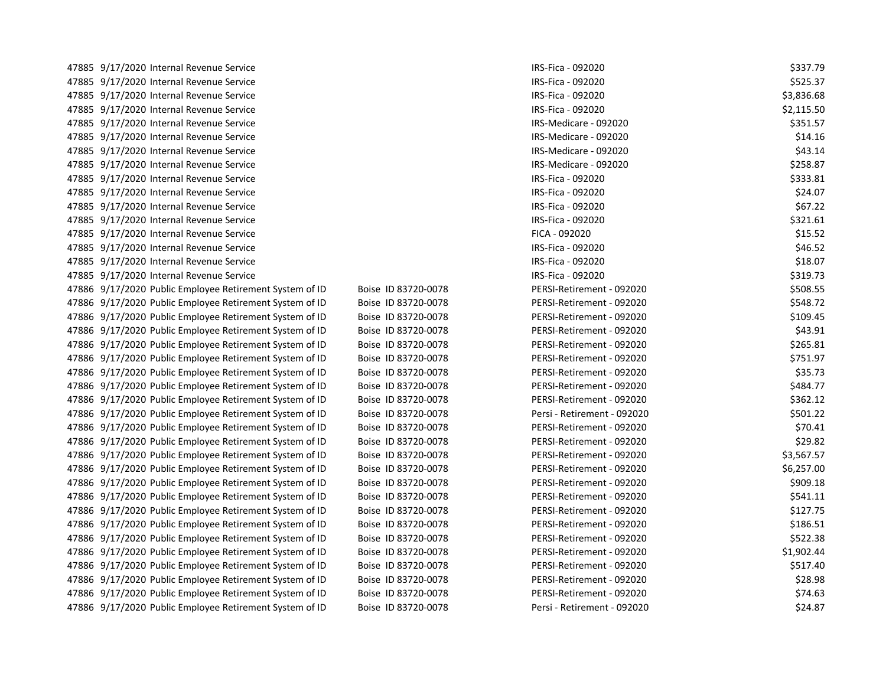| 47885 971772020 internal Revenue Service                |                     | INJ-FILd - UYZUZU           | 2001.19    |
|---------------------------------------------------------|---------------------|-----------------------------|------------|
| 47885 9/17/2020 Internal Revenue Service                |                     | IRS-Fica - 092020           | \$525.37   |
| 47885 9/17/2020 Internal Revenue Service                |                     | IRS-Fica - 092020           | \$3,836.68 |
| 47885 9/17/2020 Internal Revenue Service                |                     | IRS-Fica - 092020           | \$2,115.50 |
| 47885 9/17/2020 Internal Revenue Service                |                     | IRS-Medicare - 092020       | \$351.57   |
| 47885 9/17/2020 Internal Revenue Service                |                     | IRS-Medicare - 092020       | \$14.16    |
| 47885 9/17/2020 Internal Revenue Service                |                     | IRS-Medicare - 092020       | \$43.14    |
| 47885 9/17/2020 Internal Revenue Service                |                     | IRS-Medicare - 092020       | \$258.87   |
| 47885 9/17/2020 Internal Revenue Service                |                     | IRS-Fica - 092020           | \$333.81   |
| 47885 9/17/2020 Internal Revenue Service                |                     | IRS-Fica - 092020           | \$24.07    |
| 47885 9/17/2020 Internal Revenue Service                |                     | IRS-Fica - 092020           | \$67.22    |
| 47885 9/17/2020 Internal Revenue Service                |                     | IRS-Fica - 092020           | \$321.61   |
| 47885 9/17/2020 Internal Revenue Service                |                     | FICA - 092020               | \$15.52    |
| 47885 9/17/2020 Internal Revenue Service                |                     | IRS-Fica - 092020           | \$46.52    |
| 47885 9/17/2020 Internal Revenue Service                |                     | IRS-Fica - 092020           | \$18.07    |
| 47885 9/17/2020 Internal Revenue Service                |                     | IRS-Fica - 092020           | \$319.73   |
| 47886 9/17/2020 Public Employee Retirement System of ID | Boise ID 83720-0078 | PERSI-Retirement - 092020   | \$508.55   |
| 47886 9/17/2020 Public Employee Retirement System of ID | Boise ID 83720-0078 | PERSI-Retirement - 092020   | \$548.72   |
| 47886 9/17/2020 Public Employee Retirement System of ID | Boise ID 83720-0078 | PERSI-Retirement - 092020   | \$109.45   |
| 47886 9/17/2020 Public Employee Retirement System of ID | Boise ID 83720-0078 | PERSI-Retirement - 092020   | \$43.91    |
| 47886 9/17/2020 Public Employee Retirement System of ID | Boise ID 83720-0078 | PERSI-Retirement - 092020   | \$265.81   |
| 47886 9/17/2020 Public Employee Retirement System of ID | Boise ID 83720-0078 | PERSI-Retirement - 092020   | \$751.97   |
| 47886 9/17/2020 Public Employee Retirement System of ID | Boise ID 83720-0078 | PERSI-Retirement - 092020   | \$35.73    |
| 47886 9/17/2020 Public Employee Retirement System of ID | Boise ID 83720-0078 | PERSI-Retirement - 092020   | \$484.77   |
| 47886 9/17/2020 Public Employee Retirement System of ID | Boise ID 83720-0078 | PERSI-Retirement - 092020   | \$362.12   |
| 47886 9/17/2020 Public Employee Retirement System of ID | Boise ID 83720-0078 | Persi - Retirement - 092020 | \$501.22   |
| 47886 9/17/2020 Public Employee Retirement System of ID | Boise ID 83720-0078 | PERSI-Retirement - 092020   | \$70.41    |
| 47886 9/17/2020 Public Employee Retirement System of ID | Boise ID 83720-0078 | PERSI-Retirement - 092020   | \$29.82    |
| 47886 9/17/2020 Public Employee Retirement System of ID | Boise ID 83720-0078 | PERSI-Retirement - 092020   | \$3,567.57 |
| 47886 9/17/2020 Public Employee Retirement System of ID | Boise ID 83720-0078 | PERSI-Retirement - 092020   | \$6,257.00 |
| 47886 9/17/2020 Public Employee Retirement System of ID | Boise ID 83720-0078 | PERSI-Retirement - 092020   | \$909.18   |
| 47886 9/17/2020 Public Employee Retirement System of ID | Boise ID 83720-0078 | PERSI-Retirement - 092020   | \$541.11   |
| 47886 9/17/2020 Public Employee Retirement System of ID | Boise ID 83720-0078 | PERSI-Retirement - 092020   | \$127.75   |
| 47886 9/17/2020 Public Employee Retirement System of ID | Boise ID 83720-0078 | PERSI-Retirement - 092020   | \$186.51   |
| 47886 9/17/2020 Public Employee Retirement System of ID | Boise ID 83720-0078 | PERSI-Retirement - 092020   | \$522.38   |
| 47886 9/17/2020 Public Employee Retirement System of ID | Boise ID 83720-0078 | PERSI-Retirement - 092020   | \$1,902.44 |
| 47886 9/17/2020 Public Employee Retirement System of ID | Boise ID 83720-0078 | PERSI-Retirement - 092020   | \$517.40   |
| 47886 9/17/2020 Public Employee Retirement System of ID | Boise ID 83720-0078 | PERSI-Retirement - 092020   | \$28.98    |
| 47886 9/17/2020 Public Employee Retirement System of ID | Boise ID 83720-0078 | PERSI-Retirement - 092020   | \$74.63    |
| 47886 9/17/2020 Public Employee Retirement System of ID | Boise ID 83720-0078 | Persi - Retirement - 092020 | \$24.87    |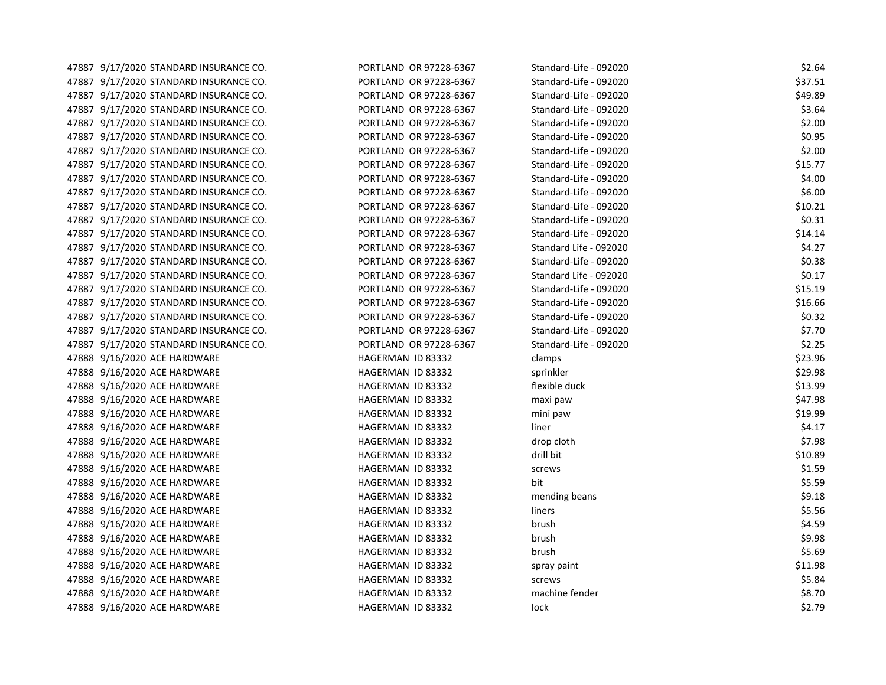| 47887 9/17/2020 STANDARD INSURANCE CO. | PORTLAND OR 97228-6367 | Standard-Life - 092020 | \$2.64  |
|----------------------------------------|------------------------|------------------------|---------|
| 47887 9/17/2020 STANDARD INSURANCE CO. | PORTLAND OR 97228-6367 | Standard-Life - 092020 | \$37.51 |
| 47887 9/17/2020 STANDARD INSURANCE CO. | PORTLAND OR 97228-6367 | Standard-Life - 092020 | \$49.89 |
| 47887 9/17/2020 STANDARD INSURANCE CO. | PORTLAND OR 97228-6367 | Standard-Life - 092020 | \$3.64  |
| 47887 9/17/2020 STANDARD INSURANCE CO. | PORTLAND OR 97228-6367 | Standard-Life - 092020 | \$2.00  |
| 47887 9/17/2020 STANDARD INSURANCE CO. | PORTLAND OR 97228-6367 | Standard-Life - 092020 | \$0.95  |
| 47887 9/17/2020 STANDARD INSURANCE CO. | PORTLAND OR 97228-6367 | Standard-Life - 092020 | \$2.00  |
| 47887 9/17/2020 STANDARD INSURANCE CO. | PORTLAND OR 97228-6367 | Standard-Life - 092020 | \$15.77 |
| 47887 9/17/2020 STANDARD INSURANCE CO. | PORTLAND OR 97228-6367 | Standard-Life - 092020 | \$4.00  |
| 47887 9/17/2020 STANDARD INSURANCE CO. | PORTLAND OR 97228-6367 | Standard-Life - 092020 | \$6.00  |
| 47887 9/17/2020 STANDARD INSURANCE CO. | PORTLAND OR 97228-6367 | Standard-Life - 092020 | \$10.21 |
| 47887 9/17/2020 STANDARD INSURANCE CO. | PORTLAND OR 97228-6367 | Standard-Life - 092020 | \$0.31  |
| 47887 9/17/2020 STANDARD INSURANCE CO. | PORTLAND OR 97228-6367 | Standard-Life - 092020 | \$14.14 |
| 47887 9/17/2020 STANDARD INSURANCE CO. | PORTLAND OR 97228-6367 | Standard Life - 092020 | \$4.27  |
| 47887 9/17/2020 STANDARD INSURANCE CO. | PORTLAND OR 97228-6367 | Standard-Life - 092020 | \$0.38  |
| 47887 9/17/2020 STANDARD INSURANCE CO. | PORTLAND OR 97228-6367 | Standard Life - 092020 | \$0.17  |
| 47887 9/17/2020 STANDARD INSURANCE CO. | PORTLAND OR 97228-6367 | Standard-Life - 092020 | \$15.19 |
| 47887 9/17/2020 STANDARD INSURANCE CO. | PORTLAND OR 97228-6367 | Standard-Life - 092020 | \$16.66 |
| 47887 9/17/2020 STANDARD INSURANCE CO. | PORTLAND OR 97228-6367 | Standard-Life - 092020 | \$0.32  |
| 47887 9/17/2020 STANDARD INSURANCE CO. | PORTLAND OR 97228-6367 | Standard-Life - 092020 | \$7.70  |
| 47887 9/17/2020 STANDARD INSURANCE CO. | PORTLAND OR 97228-6367 | Standard-Life - 092020 | \$2.25  |
| 47888 9/16/2020 ACE HARDWARE           | HAGERMAN ID 83332      | clamps                 | \$23.96 |
| 47888 9/16/2020 ACE HARDWARE           | HAGERMAN ID 83332      | sprinkler              | \$29.98 |
| 47888 9/16/2020 ACE HARDWARE           | HAGERMAN ID 83332      | flexible duck          | \$13.99 |
| 47888 9/16/2020 ACE HARDWARE           | HAGERMAN ID 83332      | maxi paw               | \$47.98 |
| 47888 9/16/2020 ACE HARDWARE           | HAGERMAN ID 83332      | mini paw               | \$19.99 |
| 47888 9/16/2020 ACE HARDWARE           | HAGERMAN ID 83332      | liner                  | \$4.17  |
| 47888 9/16/2020 ACE HARDWARE           | HAGERMAN ID 83332      | drop cloth             | \$7.98  |
| 47888 9/16/2020 ACE HARDWARE           | HAGERMAN ID 83332      | drill bit              | \$10.89 |
| 47888 9/16/2020 ACE HARDWARE           | HAGERMAN ID 83332      | screws                 | \$1.59  |
| 47888 9/16/2020 ACE HARDWARE           | HAGERMAN ID 83332      | bit                    | \$5.59  |
| 47888 9/16/2020 ACE HARDWARE           | HAGERMAN ID 83332      | mending beans          | \$9.18  |
| 47888 9/16/2020 ACE HARDWARE           | HAGERMAN ID 83332      | liners                 | \$5.56  |
| 47888 9/16/2020 ACE HARDWARE           | HAGERMAN ID 83332      | brush                  | \$4.59  |
| 47888 9/16/2020 ACE HARDWARE           | HAGERMAN ID 83332      | brush                  | \$9.98  |
| 47888 9/16/2020 ACE HARDWARE           | HAGERMAN ID 83332      | brush                  | \$5.69  |
| 47888 9/16/2020 ACE HARDWARE           | HAGERMAN ID 83332      | spray paint            | \$11.98 |
| 47888 9/16/2020 ACE HARDWARE           | HAGERMAN ID 83332      | screws                 | \$5.84  |
| 47888 9/16/2020 ACE HARDWARE           | HAGERMAN ID 83332      | machine fender         | \$8.70  |
| 47888 9/16/2020 ACE HARDWARE           | HAGERMAN ID 83332      | lock                   | \$2.79  |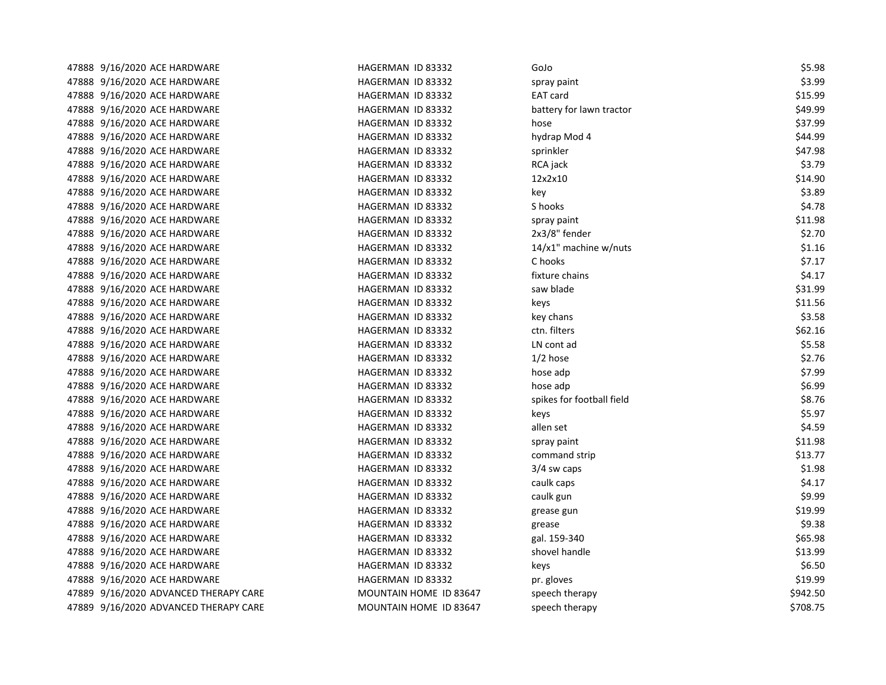| 47888 9/16/2020 ACE HARDWARE          | HAGERMAN ID 83332      | GoJo                      | \$5.98   |
|---------------------------------------|------------------------|---------------------------|----------|
| 47888 9/16/2020 ACE HARDWARE          | HAGERMAN ID 83332      | spray paint               | \$3.99   |
| 47888 9/16/2020 ACE HARDWARE          | HAGERMAN ID 83332      | <b>EAT card</b>           | \$15.99  |
| 47888 9/16/2020 ACE HARDWARE          | HAGERMAN ID 83332      | battery for lawn tractor  | \$49.99  |
| 47888 9/16/2020 ACE HARDWARE          | HAGERMAN ID 83332      | hose                      | \$37.99  |
| 47888 9/16/2020 ACE HARDWARE          | HAGERMAN ID 83332      | hydrap Mod 4              | \$44.99  |
| 47888 9/16/2020 ACE HARDWARE          | HAGERMAN ID 83332      | sprinkler                 | \$47.98  |
| 47888 9/16/2020 ACE HARDWARE          | HAGERMAN ID 83332      | RCA jack                  | \$3.79   |
| 47888 9/16/2020 ACE HARDWARE          | HAGERMAN ID 83332      | 12x2x10                   | \$14.90  |
| 47888 9/16/2020 ACE HARDWARE          | HAGERMAN ID 83332      | key                       | \$3.89   |
| 47888 9/16/2020 ACE HARDWARE          | HAGERMAN ID 83332      | S hooks                   | \$4.78   |
| 47888 9/16/2020 ACE HARDWARE          | HAGERMAN ID 83332      | spray paint               | \$11.98  |
| 47888 9/16/2020 ACE HARDWARE          | HAGERMAN ID 83332      | 2x3/8" fender             | \$2.70   |
| 47888 9/16/2020 ACE HARDWARE          | HAGERMAN ID 83332      | 14/x1" machine w/nuts     | \$1.16   |
| 47888 9/16/2020 ACE HARDWARE          | HAGERMAN ID 83332      | C hooks                   | \$7.17   |
| 47888 9/16/2020 ACE HARDWARE          | HAGERMAN ID 83332      | fixture chains            | \$4.17   |
| 47888 9/16/2020 ACE HARDWARE          | HAGERMAN ID 83332      | saw blade                 | \$31.99  |
| 47888 9/16/2020 ACE HARDWARE          | HAGERMAN ID 83332      | keys                      | \$11.56  |
| 47888 9/16/2020 ACE HARDWARE          | HAGERMAN ID 83332      | key chans                 | \$3.58   |
| 47888 9/16/2020 ACE HARDWARE          | HAGERMAN ID 83332      | ctn. filters              | \$62.16  |
| 47888 9/16/2020 ACE HARDWARE          | HAGERMAN ID 83332      | LN cont ad                | \$5.58   |
| 47888 9/16/2020 ACE HARDWARE          | HAGERMAN ID 83332      | $1/2$ hose                | \$2.76   |
| 47888 9/16/2020 ACE HARDWARE          | HAGERMAN ID 83332      | hose adp                  | \$7.99   |
| 47888 9/16/2020 ACE HARDWARE          | HAGERMAN ID 83332      | hose adp                  | \$6.99   |
| 47888 9/16/2020 ACE HARDWARE          | HAGERMAN ID 83332      | spikes for football field | \$8.76   |
| 47888 9/16/2020 ACE HARDWARE          | HAGERMAN ID 83332      | keys                      | \$5.97   |
| 47888 9/16/2020 ACE HARDWARE          | HAGERMAN ID 83332      | allen set                 | \$4.59   |
| 47888 9/16/2020 ACE HARDWARE          | HAGERMAN ID 83332      | spray paint               | \$11.98  |
| 47888 9/16/2020 ACE HARDWARE          | HAGERMAN ID 83332      | command strip             | \$13.77  |
| 47888 9/16/2020 ACE HARDWARE          | HAGERMAN ID 83332      | 3/4 sw caps               | \$1.98   |
| 47888 9/16/2020 ACE HARDWARE          | HAGERMAN ID 83332      | caulk caps                | \$4.17   |
| 47888 9/16/2020 ACE HARDWARE          | HAGERMAN ID 83332      | caulk gun                 | \$9.99   |
| 47888 9/16/2020 ACE HARDWARE          | HAGERMAN ID 83332      | grease gun                | \$19.99  |
| 47888 9/16/2020 ACE HARDWARE          | HAGERMAN ID 83332      | grease                    | \$9.38   |
| 47888 9/16/2020 ACE HARDWARE          | HAGERMAN ID 83332      | gal. 159-340              | \$65.98  |
| 47888 9/16/2020 ACE HARDWARE          | HAGERMAN ID 83332      | shovel handle             | \$13.99  |
| 47888 9/16/2020 ACE HARDWARE          | HAGERMAN ID 83332      | keys                      | \$6.50   |
| 47888 9/16/2020 ACE HARDWARE          | HAGERMAN ID 83332      | pr. gloves                | \$19.99  |
| 47889 9/16/2020 ADVANCED THERAPY CARE | MOUNTAIN HOME ID 83647 | speech therapy            | \$942.50 |
| 47889 9/16/2020 ADVANCED THERAPY CARE | MOUNTAIN HOME ID 83647 | speech therapy            | \$708.75 |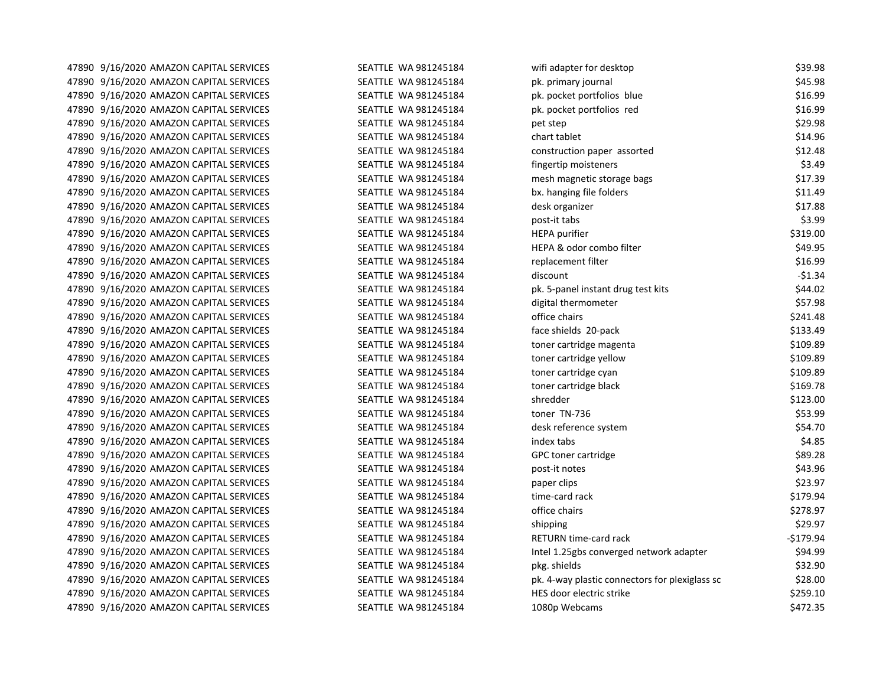47890 9/16/2020 AMAZON CAPITAL SERVICES SEATTLE WA 981245184 47890 9/16/2020 AMAZON CAPITAL SERVICES SEATTLE WA 981245184 47890 9/16/2020 AMAZON CAPITAL SERVICES SEATTLE WA 981245184 47890 9/16/2020 AMAZON CAPITAL SERVICES SEATTLE WA 981245184 47890 9/16/2020 AMAZON CAPITAL SERVICES SEATTLE WA 981245184 47890 9/16/2020 AMAZON CAPITAL SERVICES SEATTLE WA 981245184 47890 9/16/2020 AMAZON CAPITAL SERVICES SEATTLE WA 981245184 47890 9/16/2020 AMAZON CAPITAL SERVICES SEATTLE WA 981245184 47890 9/16/2020 AMAZON CAPITAL SERVICES SEATTLE WA 981245184 47890 9/16/2020 AMAZON CAPITAL SERVICES SEATTLE WA 981245184 47890 9/16/2020 AMAZON CAPITAL SERVICES SEATTLE WA 981245184 47890 9/16/2020 AMAZON CAPITAL SERVICES SEATTLE WA 981245184 47890 9/16/2020 AMAZON CAPITAL SERVICES SEATTLE WA 981245184 47890 9/16/2020 AMAZON CAPITAL SERVICES SEATTLE WA 981245184 47890 9/16/2020 AMAZON CAPITAL SERVICES SEATTLE WA 981245184 47890 9/16/2020 AMAZON CAPITAL SERVICES SEATTLE WA 981245184 47890 9/16/2020 AMAZON CAPITAL SERVICES SEATTLE WA 981245184 47890 9/16/2020 AMAZON CAPITAL SERVICES SEATTLE WA 981245184 47890 9/16/2020 AMAZON CAPITAL SERVICES SEATTLE WA 981245184 47890 9/16/2020 AMAZON CAPITAL SERVICES SEATTLE WA 981245184 47890 9/16/2020 AMAZON CAPITAL SERVICES SEATTLE WA 981245184 47890 9/16/2020 AMAZON CAPITAL SERVICES SEATTLE WA 981245184 47890 9/16/2020 AMAZON CAPITAL SERVICES SEATTLE WA 981245184 47890 9/16/2020 AMAZON CAPITAL SERVICES SEATTLE WA 981245184 47890 9/16/2020 AMAZON CAPITAL SERVICES SEATTLE WA 981245184 47890 9/16/2020 AMAZON CAPITAL SERVICES SEATTLE WA 981245184 47890 9/16/2020 AMAZON CAPITAL SERVICES SEATTLE WA 981245184 47890 9/16/2020 AMAZON CAPITAL SERVICES SEATTLE WA 981245184 47890 9/16/2020 AMAZON CAPITAL SERVICES SEATTLE WA 981245184 47890 9/16/2020 AMAZON CAPITAL SERVICES SEATTLE WA 981245184 47890 9/16/2020 AMAZON CAPITAL SERVICES SEATTLE WA 981245184 47890 9/16/2020 AMAZON CAPITAL SERVICES SEATTLE WA 981245184 47890 9/16/2020 AMAZON CAPITAL SERVICES SEATTLE WA 981245184 47890 9/16/2020 AMAZON CAPITAL SERVICES SEATTLE WA 981245184 47890 9/16/2020 AMAZON CAPITAL SERVICES SEATTLE WA 981245184 47890 9/16/2020 AMAZON CAPITAL SERVICES SEATTLE WA 981245184 47890 9/16/2020 AMAZON CAPITAL SERVICES SEATTLE WA 981245184 47890 9/16/2020 AMAZON CAPITAL SERVICES SEATTLE WA 981245184 47890 9/16/2020 AMAZON CAPITAL SERVICES SEATTLE WA 981245184 47890 9/16/2020 AMAZON CAPITAL SERVICES SEATTLE WA 981245184

| wifi adapter for desktop                       | \$39.98    |
|------------------------------------------------|------------|
| pk. primary journal                            | \$45.98    |
| pk. pocket portfolios blue                     | \$16.99    |
| pk. pocket portfolios red                      | \$16.99    |
| pet step                                       | \$29.98    |
| chart tablet                                   | \$14.96    |
| construction paper assorted                    | \$12.48    |
| fingertip moisteners                           | \$3.49     |
| mesh magnetic storage bags                     | \$17.39    |
| bx. hanging file folders                       | \$11.49    |
| desk organizer                                 | \$17.88    |
| post-it tabs                                   | \$3.99     |
| <b>HEPA</b> purifier                           | \$319.00   |
| HEPA & odor combo filter                       | \$49.95    |
| replacement filter                             | \$16.99    |
| discount                                       | $-51.34$   |
| pk. 5-panel instant drug test kits             | \$44.02    |
| digital thermometer                            | \$57.98    |
| office chairs                                  | \$241.48   |
| face shields 20-pack                           | \$133.49   |
| toner cartridge magenta                        | \$109.89   |
| toner cartridge yellow                         | \$109.89   |
| toner cartridge cyan                           | \$109.89   |
| toner cartridge black                          | \$169.78   |
| shredder                                       | \$123.00   |
| toner TN-736                                   | \$53.99    |
| desk reference system                          | \$54.70    |
| index tabs                                     | \$4.85     |
| GPC toner cartridge                            | \$89.28    |
| post-it notes                                  | \$43.96    |
| paper clips                                    | \$23.97    |
| time-card rack                                 | \$179.94   |
| office chairs                                  | \$278.97   |
| shipping                                       | \$29.97    |
| RETURN time-card rack                          | $-$179.94$ |
| Intel 1.25gbs converged network adapter        | \$94.99    |
| pkg. shields                                   | \$32.90    |
| pk. 4-way plastic connectors for plexiglass sc | \$28.00    |
| HES door electric strike                       | \$259.10   |
| 1080p Webcams                                  | \$472.35   |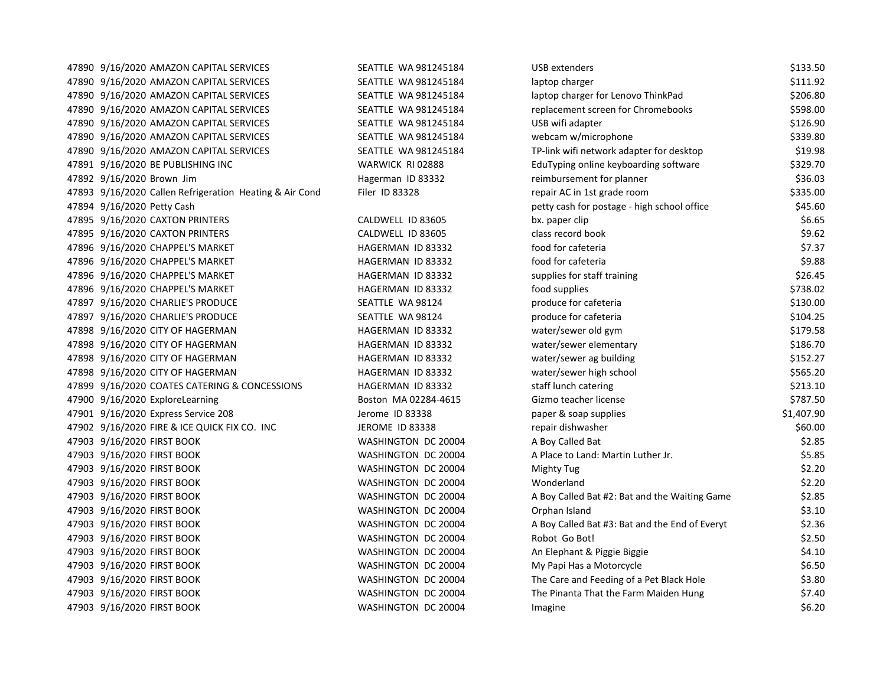47890 9/16/2020 AMAZON CAPITAL SERVICES SEATTLE WA 981245184 47890 9/16/2020 AMAZON CAPITAL SERVICES SEATTLE WA 981245184 47890 9/16/2020 AMAZON CAPITAL SERVICES SEATTLE WA 981245184 47890 9/16/2020 AMAZON CAPITAL SERVICES SEATTLE WA 981245184 47890 9/16/2020 AMAZON CAPITAL SERVICES SEATTLE WA 981245184 47890 9/16/2020 AMAZON CAPITAL SERVICES SEATTLE WA 981245184 WEB 47890 9/16/2020 AMAZON CAPITAL SERVICES SEATTLE WA 981245184 47891 9/16/2020 BE PUBLISHING INC WARWICK RI 02888 47892 9/16/2020 Brown Jim **Hagerman ID 83332** reimbursement for planner  $\frac{363332}{2}$ 47893 9/16/2020 Callen Refrigeration Heating & Air Cond Filer ID 83328 47894 9/16/2020 Petty Cash 47895 9/16/2020 CAXTON PRINTERS CALDWELL ID 83605 47895 9/16/2020 CAXTON PRINTERS CALDWELL ID 83605 47896 9/16/2020 CHAPPEL'S MARKET HAGERMAN ID 83332 47896 9/16/2020 CHAPPEL'S MARKET **HAGERMAN ID 83332** 47896 9/16/2020 CHAPPEL'S MARKET NAGERMAN ID 83332 47896 9/16/2020 CHAPPEL'S MARKET HAGERMAN ID 83332 47897 9/16/2020 CHARLIE'S PRODUCE SEATTLE WA 98124 47897 9/16/2020 CHARLIE'S PRODUCE SEATTLE WA 98124 47898 9/16/2020 CITY OF HAGERMAN HAGERMAN HAGERMAN ID 83332 47898 9/16/2020 CITY OF HAGERMAN HAGERMAN HAGERMAN ID 83332 47898 9/16/2020 CITY OF HAGERMAN HAGERMAN HAGERMAN ID 83332 47898 9/16/2020 CITY OF HAGERMAN HAGERMAN HAGERMAN ID 83332 47899 9/16/2020 COATES CATERING & CONCESSIONS THAGERMAN ID 83332 47900 9/16/2020 ExploreLearning Boston MA 02284-4615 Gizmo teacher in the Boston MA 02284-4615 47901 9/16/2020 Express Service 208 Jerome ID 83338 47902 9/16/2020 FIRE & ICE QUICK FIX CO. INC **JEROME ID 83338** 47903 9/16/2020 FIRST BOOK WASHINGTON DC 20004 47903 9/16/2020 FIRST BOOK WASHINGTON DC 20004 47903 9/16/2020 FIRST BOOK WASHINGTON DC 20004 47903 9/16/2020 FIRST BOOK WASHINGTON DC 20004 47903 9/16/2020 FIRST BOOK WASHINGTON DC 20004 47903 9/16/2020 FIRST BOOK WASHINGTON DC 20004 47903 9/16/2020 FIRST BOOK WASHINGTON DC 20004 47903 9/16/2020 FIRST BOOK WASHINGTON DC 20004 47903 9/16/2020 FIRST BOOK WASHINGTON DC 20004 47903 9/16/2020 FIRST BOOK WASHINGTON DC 20004 47903 9/16/2020 FIRST BOOK WASHINGTON DC 20004 47903 9/16/2020 FIRST BOOK The Pinanta That the Pinanta That the Pinanta That the Pinanta That the Farm Maine 47903 9/16/2020 FIRST BOOK IMAGHINGTON DC 20004 IMAGHINGTON DC 20004

| JSB extenders                                  | \$133.50   |
|------------------------------------------------|------------|
| aptop charger                                  | \$111.92   |
| aptop charger for Lenovo ThinkPad              | \$206.80   |
| eplacement screen for Chromebooks              | \$598.00   |
| JSB wifi adapter                               | \$126.90   |
| webcam w/microphone                            | \$339.80   |
| FP-link wifi network adapter for desktop       | \$19.98    |
| duTyping online keyboarding software           | \$329.70   |
| eimbursement for planner                       | \$36.03    |
| epair AC in 1st grade room                     | \$335.00   |
| betty cash for postage - high school office    | \$45.60    |
| ox. paper clip                                 | \$6.65     |
| class record book                              | \$9.62     |
| ood for cafeteria                              | \$7.37     |
| ood for cafeteria                              | \$9.88     |
| supplies for staff training                    | \$26.45    |
| ood supplies                                   | \$738.02   |
| oroduce for cafeteria                          | \$130.00   |
| produce for cafeteria                          | \$104.25   |
| water/sewer old gym                            | \$179.58   |
| water/sewer elementary                         | \$186.70   |
| water/sewer ag building                        | \$152.27   |
| water/sewer high school                        | \$565.20   |
| taff lunch catering                            | \$213.10   |
| Gizmo teacher license                          | \$787.50   |
| baper & soap supplies                          | \$1,407.90 |
| epair dishwasher                               | \$60.00    |
| A Boy Called Bat                               | \$2.85     |
| A Place to Land: Martin Luther Jr.             | \$5.85     |
| Mighty Tug                                     | \$2.20     |
| Nonderland                                     | \$2.20     |
| A Boy Called Bat #2: Bat and the Waiting Game  | \$2.85     |
| Orphan Island                                  | \$3.10     |
| A Boy Called Bat #3: Bat and the End of Everyt | \$2.36     |
| Robot Go Bot!                                  | \$2.50     |
| An Elephant & Piggie Biggie                    | \$4.10     |
| My Papi Has a Motorcycle                       | \$6.50     |
| The Care and Feeding of a Pet Black Hole       | \$3.80     |
| The Pinanta That the Farm Maiden Hung          | \$7.40     |
| magine                                         | \$6.20     |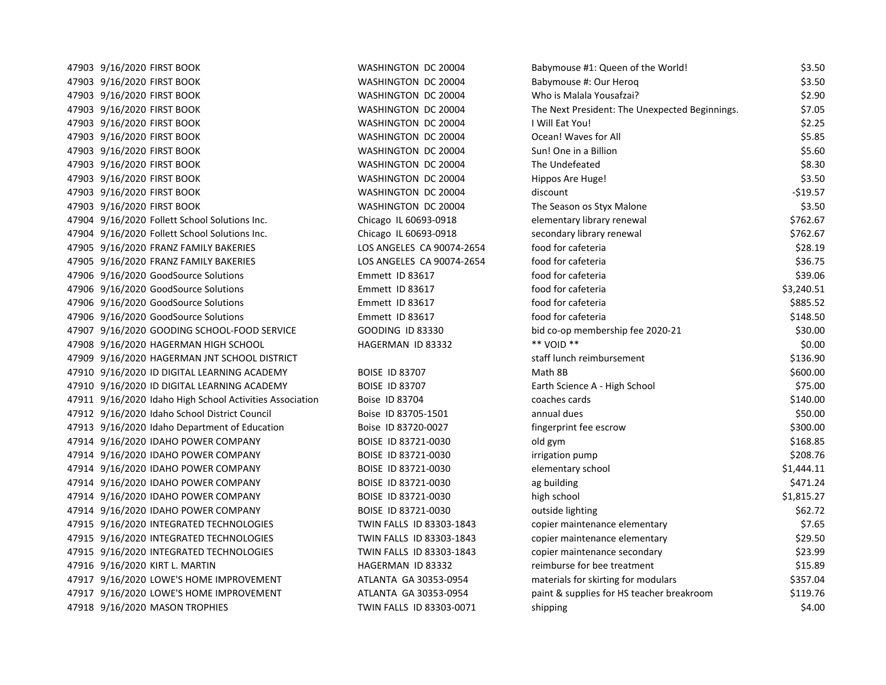47903 9/16/2020 FIRST BOOK BABY TO MASHINGTON DC 20004 BABY 47903 9/16/2020 FIRST BOOK BABY TO MASHINGTON DC 20004 BABY 47903 9/16/2020 FIRST BOOK WASHINGTON DC 20004 V 47903 9/16/2020 FIRST BOOK The Next President: Next President: Next President: Next President: The Next President 47903 9/16/2020 FIRST BOOK WASHINGTON DC 20004 I 47903 9/16/2020 FIRST BOOK **WASHINGTON DC 20004** O 47903 9/16/2020 FIRST BOOK SUNNESS AND RESOUND THE SUNNESS WASHINGTON DC 20004 SI 47903 9/16/2020 FIRST BOOK THE UNDEFEATED MASHINGTON DC 20004 The UNDEFEATED BY 47903 9/16/2020 FIRST BOOK **WASHINGTON DC 20004** H 47903 9/16/2020 FIRST BOOK WASHINGTON DC 20004 discount -\$19.57 47903 9/16/2020 FIRST BOOK The Season of Season os Styling WASHINGTON DC 20004 The Season of Season of Season o 47904 9/16/2020 Follett School Solutions Inc. Chicago IL 60693-0918 elementary renewal  $\epsilon$ 47904 9/16/2020 Follett School Solutions Inc. Chicago IL 60693-0918 secondary renewal \$762.67 47905 9/16/2020 FRANZ FAMILY BAKERIES LOS ANGELES CA 90074-2654 for 47905 9/16/2020 FRANZ FAMILY BAKERIES LOS ANGELES CA 90074-2654 for care for care for care for care for care for care for care for care for care for care for care for care for care for care for care for care for care for c 47906 9/16/2020 GoodSource Solutions **Emmett ID 83617** for career for career for career for career for career for career for career for career for career for career for career for career for career for career for career fo 47906 9/16/2020 GoodSource Solutions **Emmett ID 83617** for career for career for career for career for career for career for career for career for career for career for career for career for career for career for career fo 47906 9/16/2020 GoodSource Solutions **For career Emmett ID 83617** for career for career for career for career for career for career for career for career for career for career for career for career for career for career fo 47906 9/16/2020 GoodSource Solutions **Emmett ID 83617** for career for career for career for career for career for career for career for career for career for career for career for career for career for career for career fo 47907 9/16/2020 GOODING SCHOOL-FOOD SERVICE GOODING ID 83330 bid co-op membership feed and membership feed and 47908 9/16/2020 HAGERMAN HIGH SCHOOL THE SOLUTION HAGERMAN ID 83332 47909 9/16/2020 HAGERMAN JNT SCHOOL DISTRICT STATES IN STATISTICS IN STATISTICS IN STATISTICS IN STAFF LUNCH R 47910 9/16/2020 ID DIGITAL LEARNING ACADEMY BOISE ID 83707 NATH 8B \$600.000 M 47910 9/16/2020 ID DIGITAL LEARNING ACADEMY BOISE ID 83707 FAMILY BOISE A - HIGH SCHOOL & FAMILY SCHOOL & RES 47911 9/16/2020 Idaho High School Activities Association Boise ID 83704 compared to the Rose 47912 9/16/2020 Idaho School District Council boise ID 83705-1501 annual dues and annual dues \$50.000 and due 47913 9/16/2020 Idaho Department of Education Boise ID 83720-0027 fi 47914 9/16/2020 IDAHO POWER COMPANY BOISE ID 83721-0030 old gym \$168.85 47914 9/16/2020 IDAHO POWER COMPANY BOISE ID 83721-0030 ir 47914 9/16/2020 IDAHO POWER COMPANY BOISE ID 83721-0030 e 47914 9/16/2020 IDAHO POWER COMPANY BOISE ID 83721-0030 ag building \$471.447914 9/16/2020 IDAHO POWER COMPANY 47914 9/16/2020 IDAHO POWER COMPANY BOISE ID 83721-0030 http:// 47914 9/16/2020 IDAHO POWER COMPANY BOISE ID 83721-0030 outside the light of the lighting sector of the light o 47915 9/16/2020 INTEGRATED TECHNOLOGIES TWIN FALLS ID 83303-1843 co 47915 9/16/2020 INTEGRATED TECHNOLOGIES TWIN FALLS ID 83303-1843 co 47915 9/16/2020 INTEGRATED TECHNOLOGIES TWIN FALLS ID 83303-1843 co 47916 9/16/2020 KIRT L. MARTIN HAGERMAN ID 83332 reimburse for bee treatment \$15.89 47917 9/16/2020 LOWE'S HOME IMPROVEMENT ATLANTA GA 30353-0954 materials for models for models for models for m 47917 9/16/2020 LOWE'S HOME IMPROVEMENT ATLANTA GA 30353-0954 paint breakroom \$11 47918 9/16/2020 MASON TROPHIES TWIN FALLS ID 83303-0071 shipping \$4.000 shipping \$4.000 shipping \$4.000 shipping \$4.000 shipping \$4.000 shipping \$4.000 shipping \$4.000 shipping \$4.000 shipping \$4.000 shipping \$4.000 shippi

| abymouse #1: Queen of the World!              | \$3.50     |
|-----------------------------------------------|------------|
| abymouse #: Our Herog                         | \$3.50     |
| Vho is Malala Yousafzai?                      | \$2.90     |
| he Next President: The Unexpected Beginnings. | \$7.05     |
| Will Eat You!                                 | \$2.25     |
| )cean! Waves for All                          | \$5.85     |
| un! One in a Billion                          | \$5.60     |
| he Undefeated                                 | \$8.30     |
| lippos Are Huge!                              | \$3.50     |
| iscount                                       | $-519.57$  |
| he Season os Styx Malone                      | \$3.50     |
| lementary library renewal                     | \$762.67   |
| econdary library renewal                      | \$762.67   |
| ood for cafeteria                             | \$28.19    |
| pod for cafeteria                             | \$36.75    |
| ood for cafeteria                             | \$39.06    |
| ood for cafeteria                             | \$3,240.51 |
| ood for cafeteria                             | \$885.52   |
| ood for cafeteria                             | \$148.50   |
| id co-op membership fee 2020-21               | \$30.00    |
| * VOID **                                     | \$0.00     |
| taff lunch reimbursement                      | \$136.90   |
| Aath 8B                                       | \$600.00   |
| arth Science A - High School                  | \$75.00    |
| oaches cards                                  | \$140.00   |
| nnual dues                                    | \$50.00    |
| ingerprint fee escrow                         | \$300.00   |
| ld gym                                        | \$168.85   |
| rigation pump                                 | \$208.76   |
| lementary school                              | \$1,444.11 |
| g building                                    | \$471.24   |
| igh school                                    | \$1,815.27 |
| utside lighting                               | \$62.72    |
| opier maintenance elementary                  | \$7.65     |
| opier maintenance elementary                  | \$29.50    |
| opier maintenance secondary                   | \$23.99    |
| eimburse for bee treatment                    | \$15.89    |
| naterials for skirting for modulars           | \$357.04   |
| aint & supplies for HS teacher breakroom      | \$119.76   |
| hipping                                       | \$4.00     |
|                                               |            |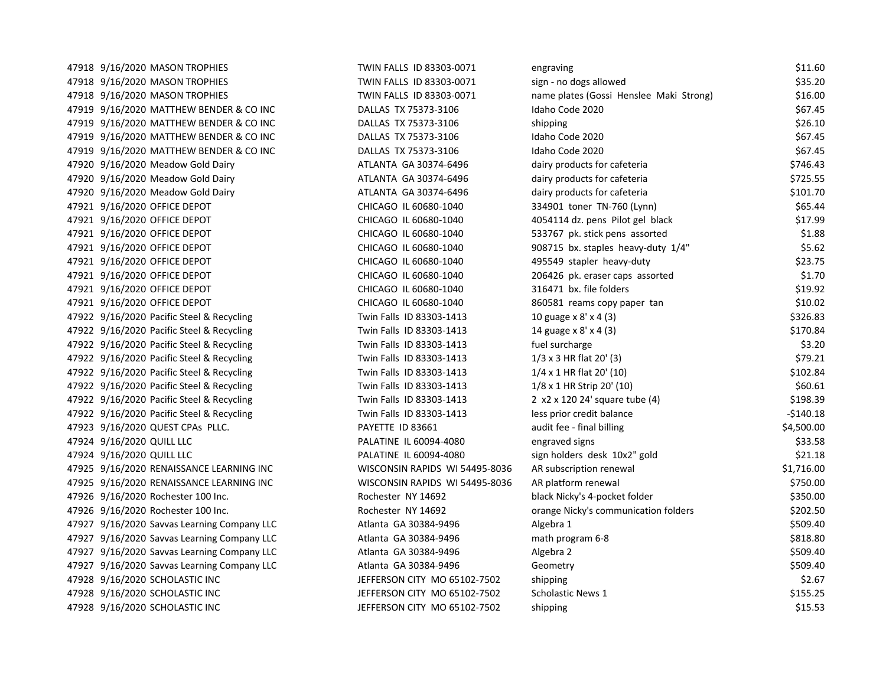| 47918 9/16/2020 MASON TROPHIES              | TWIN FALLS ID 83303-0071       | engraving                               | \$11.60    |
|---------------------------------------------|--------------------------------|-----------------------------------------|------------|
| 47918 9/16/2020 MASON TROPHIES              | TWIN FALLS ID 83303-0071       | sign - no dogs allowed                  | \$35.20    |
| 47918 9/16/2020 MASON TROPHIES              | TWIN FALLS ID 83303-0071       | name plates (Gossi Henslee Maki Strong) | \$16.00    |
| 47919 9/16/2020 MATTHEW BENDER & CO INC     | DALLAS TX 75373-3106           | Idaho Code 2020                         | \$67.45    |
| 47919 9/16/2020 MATTHEW BENDER & CO INC     | DALLAS TX 75373-3106           | shipping                                | \$26.10    |
| 47919 9/16/2020 MATTHEW BENDER & CO INC     | DALLAS TX 75373-3106           | Idaho Code 2020                         | \$67.45    |
| 47919 9/16/2020 MATTHEW BENDER & CO INC     | DALLAS TX 75373-3106           | Idaho Code 2020                         | \$67.45    |
| 47920 9/16/2020 Meadow Gold Dairy           | ATLANTA GA 30374-6496          | dairy products for cafeteria            | \$746.43   |
| 47920 9/16/2020 Meadow Gold Dairy           | ATLANTA GA 30374-6496          | dairy products for cafeteria            | \$725.55   |
| 47920 9/16/2020 Meadow Gold Dairy           | ATLANTA GA 30374-6496          | dairy products for cafeteria            | \$101.70   |
| 47921 9/16/2020 OFFICE DEPOT                | CHICAGO IL 60680-1040          | 334901 toner TN-760 (Lynn)              | \$65.44    |
| 47921 9/16/2020 OFFICE DEPOT                | CHICAGO IL 60680-1040          | 4054114 dz. pens Pilot gel black        | \$17.99    |
| 47921 9/16/2020 OFFICE DEPOT                | CHICAGO IL 60680-1040          | 533767 pk. stick pens assorted          | \$1.88     |
| 47921 9/16/2020 OFFICE DEPOT                | CHICAGO IL 60680-1040          | 908715 bx. staples heavy-duty 1/4"      | \$5.62     |
| 47921 9/16/2020 OFFICE DEPOT                | CHICAGO IL 60680-1040          | 495549 stapler heavy-duty               | \$23.75    |
| 47921 9/16/2020 OFFICE DEPOT                | CHICAGO IL 60680-1040          | 206426 pk. eraser caps assorted         | \$1.70     |
| 47921 9/16/2020 OFFICE DEPOT                | CHICAGO IL 60680-1040          | 316471 bx. file folders                 | \$19.92    |
| 47921 9/16/2020 OFFICE DEPOT                | CHICAGO IL 60680-1040          | 860581 reams copy paper tan             | \$10.02    |
| 47922 9/16/2020 Pacific Steel & Recycling   | Twin Falls ID 83303-1413       | 10 guage x 8' x 4 (3)                   | \$326.83   |
| 47922 9/16/2020 Pacific Steel & Recycling   | Twin Falls ID 83303-1413       | 14 guage x 8' x 4 (3)                   | \$170.84   |
| 47922 9/16/2020 Pacific Steel & Recycling   | Twin Falls ID 83303-1413       | fuel surcharge                          | \$3.20     |
| 47922 9/16/2020 Pacific Steel & Recycling   | Twin Falls ID 83303-1413       | $1/3 \times 3$ HR flat 20' (3)          | \$79.21    |
| 47922 9/16/2020 Pacific Steel & Recycling   | Twin Falls ID 83303-1413       | $1/4 \times 1$ HR flat 20' (10)         | \$102.84   |
| 47922 9/16/2020 Pacific Steel & Recycling   | Twin Falls ID 83303-1413       | $1/8 \times 1$ HR Strip 20' (10)        | \$60.61    |
| 47922 9/16/2020 Pacific Steel & Recycling   | Twin Falls ID 83303-1413       | 2 x2 x 120 24' square tube (4)          | \$198.39   |
| 47922 9/16/2020 Pacific Steel & Recycling   | Twin Falls ID 83303-1413       | less prior credit balance               | -\$140.18  |
| 47923 9/16/2020 QUEST CPAs PLLC.            | PAYETTE ID 83661               | audit fee - final billing               | \$4,500.00 |
| 47924 9/16/2020 QUILL LLC                   | PALATINE IL 60094-4080         | engraved signs                          | \$33.58    |
| 47924 9/16/2020 QUILL LLC                   | PALATINE IL 60094-4080         | sign holders desk 10x2" gold            | \$21.18    |
| 47925 9/16/2020 RENAISSANCE LEARNING INC    | WISCONSIN RAPIDS WI 54495-8036 | AR subscription renewal                 | \$1,716.00 |
| 47925 9/16/2020 RENAISSANCE LEARNING INC    | WISCONSIN RAPIDS WI 54495-8036 | AR platform renewal                     | \$750.00   |
| 47926 9/16/2020 Rochester 100 Inc.          | Rochester NY 14692             | black Nicky's 4-pocket folder           | \$350.00   |
| 47926 9/16/2020 Rochester 100 Inc.          | Rochester NY 14692             | orange Nicky's communication folders    | \$202.50   |
| 47927 9/16/2020 Savvas Learning Company LLC | Atlanta GA 30384-9496          | Algebra 1                               | \$509.40   |
| 47927 9/16/2020 Savvas Learning Company LLC | Atlanta GA 30384-9496          | math program 6-8                        | \$818.80   |
| 47927 9/16/2020 Savvas Learning Company LLC | Atlanta GA 30384-9496          | Algebra 2                               | \$509.40   |
| 47927 9/16/2020 Savvas Learning Company LLC | Atlanta GA 30384-9496          | Geometry                                | \$509.40   |
| 47928 9/16/2020 SCHOLASTIC INC              | JEFFERSON CITY MO 65102-7502   | shipping                                | \$2.67     |
| 47928 9/16/2020 SCHOLASTIC INC              | JEFFERSON CITY MO 65102-7502   | Scholastic News 1                       | \$155.25   |
| 47928 9/16/2020 SCHOLASTIC INC              | JEFFERSON CITY MO 65102-7502   | shipping                                | \$15.53    |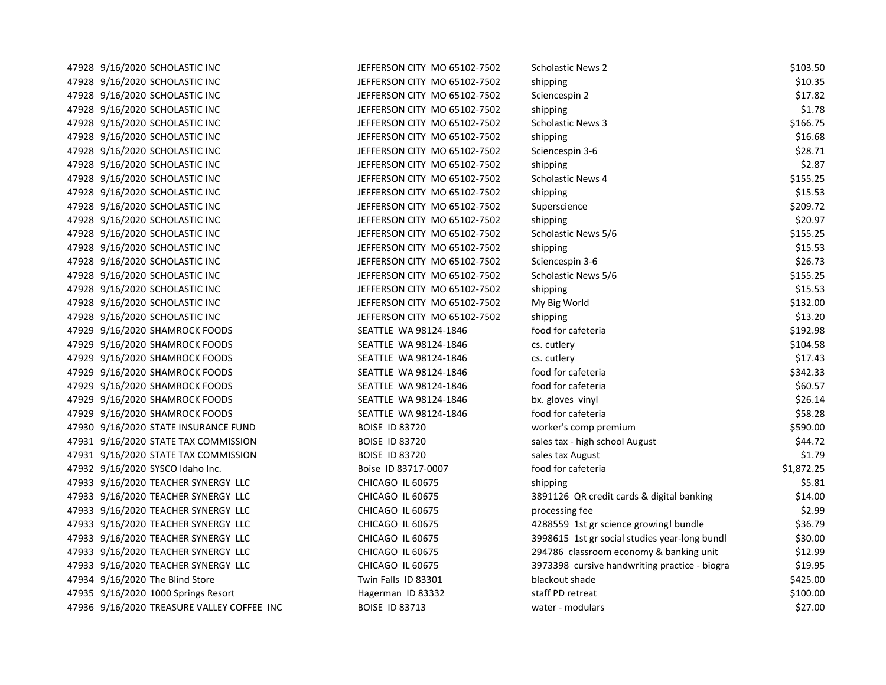| 47928 | 9/16/2020 SCHOLASTIC INC         |
|-------|----------------------------------|
| 47928 | 9/16/2020 SCHOLASTIC INC         |
| 47928 | 9/16/2020 SCHOLASTIC INC         |
| 47928 | 9/16/2020 SCHOLASTIC INC         |
| 47928 | 9/16/2020 SCHOLASTIC INC         |
| 47928 | 9/16/2020 SCHOLASTIC INC         |
| 47928 | 9/16/2020 SCHOLASTIC INC         |
| 47928 | 9/16/2020 SCHOLASTIC INC         |
| 47928 | 9/16/2020 SCHOLASTIC INC         |
| 47928 | 9/16/2020 SCHOLASTIC INC         |
| 47928 | 9/16/2020 SCHOLASTIC INC         |
| 47928 | 9/16/2020 SCHOLASTIC INC         |
| 47928 | 9/16/2020 SCHOLASTIC INC         |
| 47928 | 9/16/2020 SCHOLASTIC INC         |
| 47928 | 9/16/2020 SCHOLASTIC INC         |
| 47928 | 9/16/2020 SCHOLASTIC INC         |
| 47928 | 9/16/2020 SCHOLASTIC INC         |
| 47928 | 9/16/2020 SCHOLASTIC INC         |
| 47928 | 9/16/2020 SCHOLASTIC INC         |
| 47929 | 9/16/2020 SHAMROCK FOODS         |
| 47929 | 9/16/2020 SHAMROCK FOODS         |
| 47929 | 9/16/2020 SHAMROCK FOODS         |
| 47929 | 9/16/2020 SHAMROCK FOODS         |
| 47929 | 9/16/2020 SHAMROCK FOODS         |
| 47929 | 9/16/2020 SHAMROCK FOODS         |
| 47929 | 9/16/2020 SHAMROCK FOODS         |
| 47930 | 9/16/2020 STATE INSURANCE FUND   |
| 47931 | 9/16/2020 STATE TAX COMMISSION   |
| 47931 | 9/16/2020 STATE TAX COMMISSION   |
| 47932 | 9/16/2020 SYSCO Idaho Inc.       |
| 47933 | 9/16/2020 TEACHER SYNERGY<br>LLC |
| 47933 | LLC<br>9/16/2020 TEACHER SYNERGY |
| 47933 | LLC<br>9/16/2020 TEACHER SYNERGY |
| 47933 | 9/16/2020 TEACHER SYNERGY<br>LLC |
| 47933 | 9/16/2020 TEACHER SYNERGY<br>LLC |
| 47933 | 9/16/2020 TEACHER SYNERGY<br>LLC |
| 47933 | 9/16/2020 TEACHER SYNERGY<br>LLC |
| 47934 | 9/16/2020 The Blind Store        |
| 47935 | 9/16/2020 1000 Springs Resort    |
| 47936 | 9/16/2020 TREASURE VALLEY COFFE  |

| 47928 9/16/2020 SCHOLASTIC INC             | JEFFERSON CITY MO 65102-7502 | <b>Scholastic News 2</b>                      | \$103.50   |
|--------------------------------------------|------------------------------|-----------------------------------------------|------------|
| 47928 9/16/2020 SCHOLASTIC INC             | JEFFERSON CITY MO 65102-7502 | shipping                                      | \$10.35    |
| 47928 9/16/2020 SCHOLASTIC INC             | JEFFERSON CITY MO 65102-7502 | Sciencespin 2                                 | \$17.82    |
| 47928 9/16/2020 SCHOLASTIC INC             | JEFFERSON CITY MO 65102-7502 | shipping                                      | \$1.78     |
| 47928 9/16/2020 SCHOLASTIC INC             | JEFFERSON CITY MO 65102-7502 | <b>Scholastic News 3</b>                      | \$166.75   |
| 47928 9/16/2020 SCHOLASTIC INC             | JEFFERSON CITY MO 65102-7502 | shipping                                      | \$16.68    |
| 47928 9/16/2020 SCHOLASTIC INC             | JEFFERSON CITY MO 65102-7502 | Sciencespin 3-6                               | \$28.71    |
| 47928 9/16/2020 SCHOLASTIC INC             | JEFFERSON CITY MO 65102-7502 | shipping                                      | \$2.87     |
| 47928 9/16/2020 SCHOLASTIC INC             | JEFFERSON CITY MO 65102-7502 | Scholastic News 4                             | \$155.25   |
| 47928 9/16/2020 SCHOLASTIC INC             | JEFFERSON CITY MO 65102-7502 | shipping                                      | \$15.53    |
| 47928 9/16/2020 SCHOLASTIC INC             | JEFFERSON CITY MO 65102-7502 | Superscience                                  | \$209.72   |
| 47928 9/16/2020 SCHOLASTIC INC             | JEFFERSON CITY MO 65102-7502 | shipping                                      | \$20.97    |
| 47928 9/16/2020 SCHOLASTIC INC             | JEFFERSON CITY MO 65102-7502 | Scholastic News 5/6                           | \$155.25   |
| 47928 9/16/2020 SCHOLASTIC INC             | JEFFERSON CITY MO 65102-7502 | shipping                                      | \$15.53    |
| 47928 9/16/2020 SCHOLASTIC INC             | JEFFERSON CITY MO 65102-7502 | Sciencespin 3-6                               | \$26.73    |
| 47928 9/16/2020 SCHOLASTIC INC             | JEFFERSON CITY MO 65102-7502 | Scholastic News 5/6                           | \$155.25   |
| 47928 9/16/2020 SCHOLASTIC INC             | JEFFERSON CITY MO 65102-7502 | shipping                                      | \$15.53    |
| 47928 9/16/2020 SCHOLASTIC INC             | JEFFERSON CITY MO 65102-7502 | My Big World                                  | \$132.00   |
| 47928 9/16/2020 SCHOLASTIC INC             | JEFFERSON CITY MO 65102-7502 | shipping                                      | \$13.20    |
| 47929 9/16/2020 SHAMROCK FOODS             | SEATTLE WA 98124-1846        | food for cafeteria                            | \$192.98   |
| 47929 9/16/2020 SHAMROCK FOODS             | SEATTLE WA 98124-1846        | cs. cutlery                                   | \$104.58   |
| 47929 9/16/2020 SHAMROCK FOODS             | SEATTLE WA 98124-1846        | cs. cutlery                                   | \$17.43    |
| 47929 9/16/2020 SHAMROCK FOODS             | SEATTLE WA 98124-1846        | food for cafeteria                            | \$342.33   |
| 47929 9/16/2020 SHAMROCK FOODS             | SEATTLE WA 98124-1846        | food for cafeteria                            | \$60.57    |
| 47929 9/16/2020 SHAMROCK FOODS             | SEATTLE WA 98124-1846        | bx. gloves vinyl                              | \$26.14    |
| 47929 9/16/2020 SHAMROCK FOODS             | SEATTLE WA 98124-1846        | food for cafeteria                            | \$58.28    |
| 47930 9/16/2020 STATE INSURANCE FUND       | <b>BOISE ID 83720</b>        | worker's comp premium                         | \$590.00   |
| 47931 9/16/2020 STATE TAX COMMISSION       | <b>BOISE ID 83720</b>        | sales tax - high school August                | \$44.72    |
| 47931 9/16/2020 STATE TAX COMMISSION       | <b>BOISE ID 83720</b>        | sales tax August                              | \$1.79     |
| 47932 9/16/2020 SYSCO Idaho Inc.           | Boise ID 83717-0007          | food for cafeteria                            | \$1,872.25 |
| 47933 9/16/2020 TEACHER SYNERGY LLC        | CHICAGO IL 60675             | shipping                                      | \$5.81     |
| 47933 9/16/2020 TEACHER SYNERGY LLC        | CHICAGO IL 60675             | 3891126 QR credit cards & digital banking     | \$14.00    |
| 47933 9/16/2020 TEACHER SYNERGY LLC        | CHICAGO IL 60675             | processing fee                                | \$2.99     |
| 47933 9/16/2020 TEACHER SYNERGY LLC        | CHICAGO IL 60675             | 4288559 1st gr science growing! bundle        | \$36.79    |
| 47933 9/16/2020 TEACHER SYNERGY LLC        | CHICAGO IL 60675             | 3998615 1st gr social studies year-long bundl | \$30.00    |
| 47933 9/16/2020 TEACHER SYNERGY LLC        | CHICAGO IL 60675             | 294786 classroom economy & banking unit       | \$12.99    |
| 47933 9/16/2020 TEACHER SYNERGY LLC        | CHICAGO IL 60675             | 3973398 cursive handwriting practice - biogra | \$19.95    |
| 47934 9/16/2020 The Blind Store            | Twin Falls ID 83301          | blackout shade                                | \$425.00   |
| 47935 9/16/2020 1000 Springs Resort        | Hagerman ID 83332            | staff PD retreat                              | \$100.00   |
| 47936 9/16/2020 TREASURE VALLEY COFFEE INC | <b>BOISE ID 83713</b>        | water - modulars                              | \$27.00    |